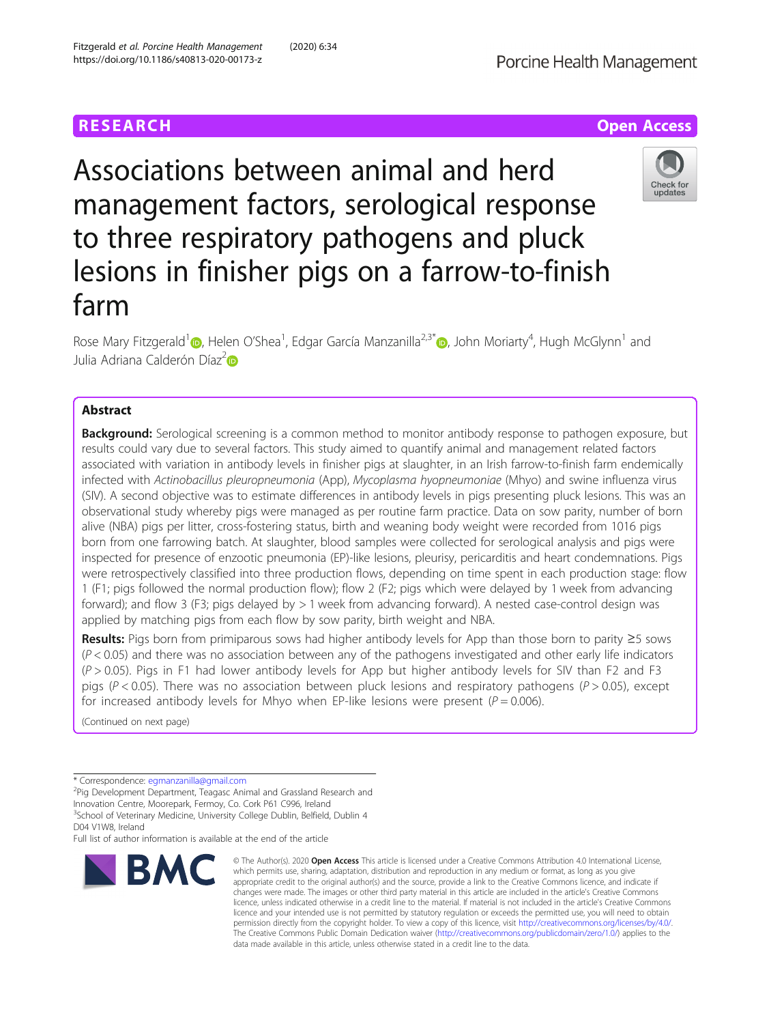Fitzgerald et al. Porcine Health Management (2020) 6:34



Check for updates

Associations between animal and herd management factors, serological response to three respiratory pathogens and pluck lesions in finisher pigs on a farrow-to-finish farm

Rose Mary Fitzgerald<sup>[1](https://orcid.org/0000-0002-0847-1830)</sup> (D[,](https://orcid.org/0000-0002-2301-2560) Helen O'Shea<sup>1</sup>, Edgar García Manzanilla<sup>2,3\*</sup> (D, John Moriarty<sup>4</sup>, Hugh McGlynn<sup>1</sup> and Julia Adriana Calderón Díaz<sup>[2](https://orcid.org/0000-0002-6313-9283)</sup>

# Abstract

**Background:** Serological screening is a common method to monitor antibody response to pathogen exposure, but results could vary due to several factors. This study aimed to quantify animal and management related factors associated with variation in antibody levels in finisher pigs at slaughter, in an Irish farrow-to-finish farm endemically infected with Actinobacillus pleuropneumonia (App), Mycoplasma hyopneumoniae (Mhyo) and swine influenza virus (SIV). A second objective was to estimate differences in antibody levels in pigs presenting pluck lesions. This was an observational study whereby pigs were managed as per routine farm practice. Data on sow parity, number of born alive (NBA) pigs per litter, cross-fostering status, birth and weaning body weight were recorded from 1016 pigs born from one farrowing batch. At slaughter, blood samples were collected for serological analysis and pigs were inspected for presence of enzootic pneumonia (EP)-like lesions, pleurisy, pericarditis and heart condemnations. Pigs were retrospectively classified into three production flows, depending on time spent in each production stage: flow 1 (F1; pigs followed the normal production flow); flow 2 (F2; pigs which were delayed by 1 week from advancing forward); and flow 3 (F3; pigs delayed by > 1 week from advancing forward). A nested case-control design was applied by matching pigs from each flow by sow parity, birth weight and NBA.

Results: Pigs born from primiparous sows had higher antibody levels for App than those born to parity ≥5 sows  $(P < 0.05)$  and there was no association between any of the pathogens investigated and other early life indicators  $(P > 0.05)$ . Pigs in F1 had lower antibody levels for App but higher antibody levels for SIV than F2 and F3 pigs ( $P < 0.05$ ). There was no association between pluck lesions and respiratory pathogens ( $P > 0.05$ ), except for increased antibody levels for Mhyo when EP-like lesions were present ( $P = 0.006$ ).

(Continued on next page)

\* Correspondence: [egmanzanilla@gmail.com](mailto:egmanzanilla@gmail.com) <sup>2</sup>

<sup>2</sup>Pig Development Department, Teagasc Animal and Grassland Research and Innovation Centre, Moorepark, Fermoy, Co. Cork P61 C996, Ireland

<sup>3</sup>School of Veterinary Medicine, University College Dublin, Belfield, Dublin 4 D04 V1W8, Ireland

Full list of author information is available at the end of the article



© The Author(s), 2020 **Open Access** This article is licensed under a Creative Commons Attribution 4.0 International License, which permits use, sharing, adaptation, distribution and reproduction in any medium or format, as long as you give appropriate credit to the original author(s) and the source, provide a link to the Creative Commons licence, and indicate if changes were made. The images or other third party material in this article are included in the article's Creative Commons licence, unless indicated otherwise in a credit line to the material. If material is not included in the article's Creative Commons licence and your intended use is not permitted by statutory regulation or exceeds the permitted use, you will need to obtain permission directly from the copyright holder. To view a copy of this licence, visit [http://creativecommons.org/licenses/by/4.0/.](http://creativecommons.org/licenses/by/4.0/) The Creative Commons Public Domain Dedication waiver [\(http://creativecommons.org/publicdomain/zero/1.0/](http://creativecommons.org/publicdomain/zero/1.0/)) applies to the data made available in this article, unless otherwise stated in a credit line to the data.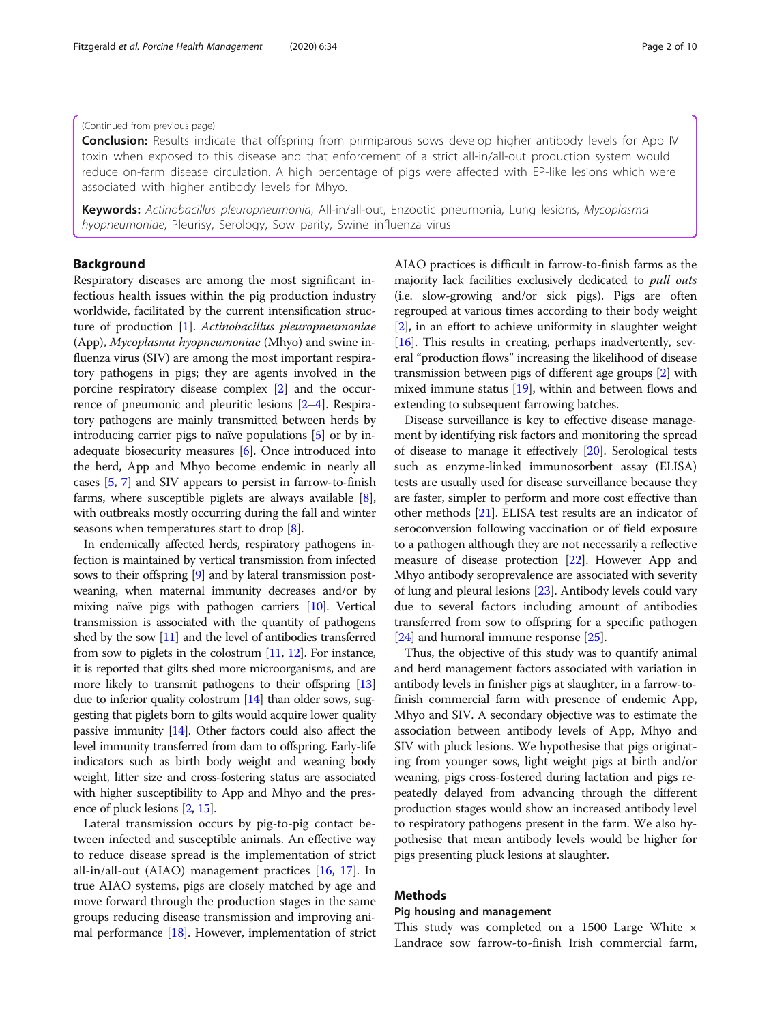### (Continued from previous page)

**Conclusion:** Results indicate that offspring from primiparous sows develop higher antibody levels for App IV toxin when exposed to this disease and that enforcement of a strict all-in/all-out production system would reduce on-farm disease circulation. A high percentage of pigs were affected with EP-like lesions which were associated with higher antibody levels for Mhyo.

Keywords: Actinobacillus pleuropneumonia, All-in/all-out, Enzootic pneumonia, Lung lesions, Mycoplasma hyopneumoniae, Pleurisy, Serology, Sow parity, Swine influenza virus

## Background

Respiratory diseases are among the most significant infectious health issues within the pig production industry worldwide, facilitated by the current intensification structure of production [\[1\]](#page-8-0). Actinobacillus pleuropneumoniae (App), Mycoplasma hyopneumoniae (Mhyo) and swine influenza virus (SIV) are among the most important respiratory pathogens in pigs; they are agents involved in the porcine respiratory disease complex [[2](#page-8-0)] and the occurrence of pneumonic and pleuritic lesions [\[2](#page-8-0)–[4](#page-8-0)]. Respiratory pathogens are mainly transmitted between herds by introducing carrier pigs to naïve populations [[5](#page-8-0)] or by inadequate biosecurity measures [[6\]](#page-8-0). Once introduced into the herd, App and Mhyo become endemic in nearly all cases [[5](#page-8-0), [7\]](#page-8-0) and SIV appears to persist in farrow-to-finish farms, where susceptible piglets are always available [[8](#page-8-0)], with outbreaks mostly occurring during the fall and winter seasons when temperatures start to drop [[8\]](#page-8-0).

In endemically affected herds, respiratory pathogens infection is maintained by vertical transmission from infected sows to their offspring [\[9\]](#page-8-0) and by lateral transmission postweaning, when maternal immunity decreases and/or by mixing naïve pigs with pathogen carriers [[10](#page-8-0)]. Vertical transmission is associated with the quantity of pathogens shed by the sow [\[11](#page-8-0)] and the level of antibodies transferred from sow to piglets in the colostrum [\[11](#page-8-0), [12\]](#page-8-0). For instance, it is reported that gilts shed more microorganisms, and are more likely to transmit pathogens to their offspring [\[13](#page-8-0)] due to inferior quality colostrum [\[14\]](#page-8-0) than older sows, suggesting that piglets born to gilts would acquire lower quality passive immunity [\[14\]](#page-8-0). Other factors could also affect the level immunity transferred from dam to offspring. Early-life indicators such as birth body weight and weaning body weight, litter size and cross-fostering status are associated with higher susceptibility to App and Mhyo and the presence of pluck lesions [\[2](#page-8-0), [15](#page-8-0)].

Lateral transmission occurs by pig-to-pig contact between infected and susceptible animals. An effective way to reduce disease spread is the implementation of strict all-in/all-out (AIAO) management practices [[16,](#page-8-0) [17\]](#page-8-0). In true AIAO systems, pigs are closely matched by age and move forward through the production stages in the same groups reducing disease transmission and improving animal performance [\[18\]](#page-8-0). However, implementation of strict AIAO practices is difficult in farrow-to-finish farms as the majority lack facilities exclusively dedicated to pull outs (i.e. slow-growing and/or sick pigs). Pigs are often regrouped at various times according to their body weight [[2\]](#page-8-0), in an effort to achieve uniformity in slaughter weight [[16](#page-8-0)]. This results in creating, perhaps inadvertently, several "production flows" increasing the likelihood of disease transmission between pigs of different age groups [\[2\]](#page-8-0) with mixed immune status [[19](#page-8-0)], within and between flows and extending to subsequent farrowing batches.

Disease surveillance is key to effective disease management by identifying risk factors and monitoring the spread of disease to manage it effectively [[20](#page-8-0)]. Serological tests such as enzyme-linked immunosorbent assay (ELISA) tests are usually used for disease surveillance because they are faster, simpler to perform and more cost effective than other methods [\[21\]](#page-8-0). ELISA test results are an indicator of seroconversion following vaccination or of field exposure to a pathogen although they are not necessarily a reflective measure of disease protection [[22](#page-8-0)]. However App and Mhyo antibody seroprevalence are associated with severity of lung and pleural lesions [[23](#page-8-0)]. Antibody levels could vary due to several factors including amount of antibodies transferred from sow to offspring for a specific pathogen [[24](#page-8-0)] and humoral immune response [\[25\]](#page-8-0).

Thus, the objective of this study was to quantify animal and herd management factors associated with variation in antibody levels in finisher pigs at slaughter, in a farrow-tofinish commercial farm with presence of endemic App, Mhyo and SIV. A secondary objective was to estimate the association between antibody levels of App, Mhyo and SIV with pluck lesions. We hypothesise that pigs originating from younger sows, light weight pigs at birth and/or weaning, pigs cross-fostered during lactation and pigs repeatedly delayed from advancing through the different production stages would show an increased antibody level to respiratory pathogens present in the farm. We also hypothesise that mean antibody levels would be higher for pigs presenting pluck lesions at slaughter.

## Methods

## Pig housing and management

This study was completed on a 1500 Large White  $\times$ Landrace sow farrow-to-finish Irish commercial farm,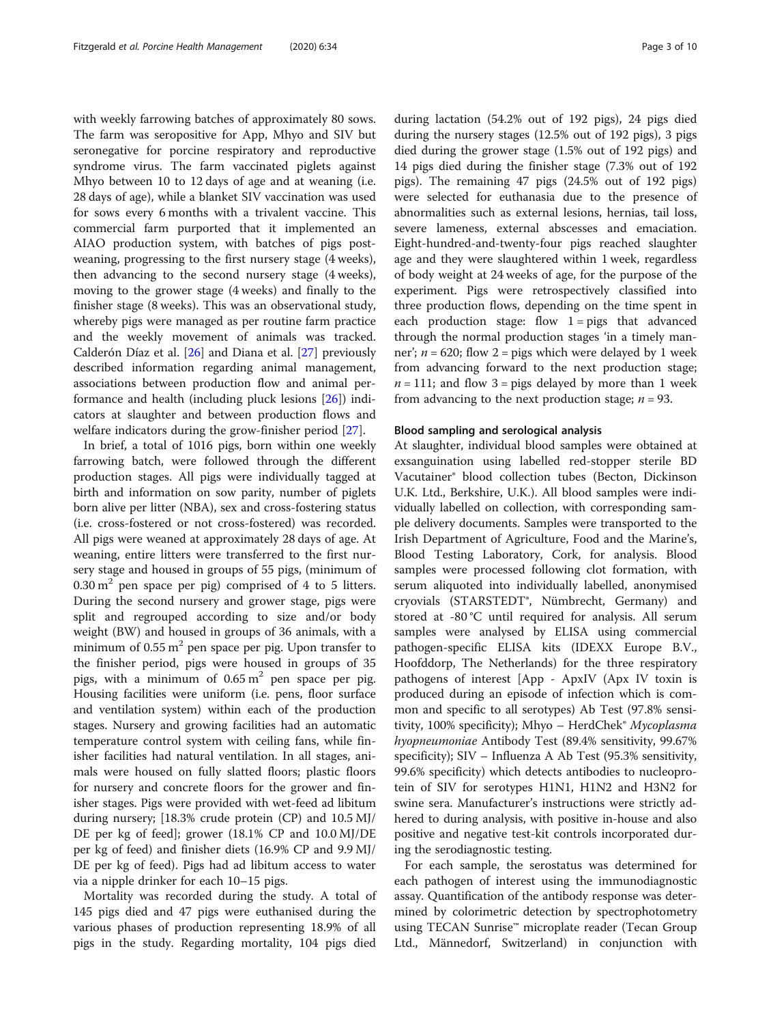with weekly farrowing batches of approximately 80 sows. The farm was seropositive for App, Mhyo and SIV but seronegative for porcine respiratory and reproductive syndrome virus. The farm vaccinated piglets against Mhyo between 10 to 12 days of age and at weaning (i.e. 28 days of age), while a blanket SIV vaccination was used for sows every 6 months with a trivalent vaccine. This commercial farm purported that it implemented an AIAO production system, with batches of pigs postweaning, progressing to the first nursery stage (4 weeks), then advancing to the second nursery stage (4 weeks), moving to the grower stage (4 weeks) and finally to the finisher stage (8 weeks). This was an observational study, whereby pigs were managed as per routine farm practice and the weekly movement of animals was tracked. Calderón Díaz et al. [\[26\]](#page-8-0) and Diana et al. [[27\]](#page-8-0) previously described information regarding animal management, associations between production flow and animal performance and health (including pluck lesions [\[26](#page-8-0)]) indicators at slaughter and between production flows and welfare indicators during the grow-finisher period [\[27](#page-8-0)].

In brief, a total of 1016 pigs, born within one weekly farrowing batch, were followed through the different production stages. All pigs were individually tagged at birth and information on sow parity, number of piglets born alive per litter (NBA), sex and cross-fostering status (i.e. cross-fostered or not cross-fostered) was recorded. All pigs were weaned at approximately 28 days of age. At weaning, entire litters were transferred to the first nursery stage and housed in groups of 55 pigs, (minimum of  $0.30 \text{ m}^2$  pen space per pig) comprised of 4 to 5 litters. During the second nursery and grower stage, pigs were split and regrouped according to size and/or body weight (BW) and housed in groups of 36 animals, with a minimum of  $0.55 \text{ m}^2$  pen space per pig. Upon transfer to the finisher period, pigs were housed in groups of 35 pigs, with a minimum of  $0.65 \text{ m}^2$  pen space per pig. Housing facilities were uniform (i.e. pens, floor surface and ventilation system) within each of the production stages. Nursery and growing facilities had an automatic temperature control system with ceiling fans, while finisher facilities had natural ventilation. In all stages, animals were housed on fully slatted floors; plastic floors for nursery and concrete floors for the grower and finisher stages. Pigs were provided with wet-feed ad libitum during nursery; [18.3% crude protein (CP) and 10.5 MJ/ DE per kg of feed]; grower (18.1% CP and 10.0 MJ/DE per kg of feed) and finisher diets (16.9% CP and 9.9 MJ/ DE per kg of feed). Pigs had ad libitum access to water via a nipple drinker for each 10–15 pigs.

Mortality was recorded during the study. A total of 145 pigs died and 47 pigs were euthanised during the various phases of production representing 18.9% of all pigs in the study. Regarding mortality, 104 pigs died during lactation (54.2% out of 192 pigs), 24 pigs died during the nursery stages (12.5% out of 192 pigs), 3 pigs died during the grower stage (1.5% out of 192 pigs) and 14 pigs died during the finisher stage (7.3% out of 192 pigs). The remaining 47 pigs (24.5% out of 192 pigs) were selected for euthanasia due to the presence of abnormalities such as external lesions, hernias, tail loss, severe lameness, external abscesses and emaciation. Eight-hundred-and-twenty-four pigs reached slaughter age and they were slaughtered within 1 week, regardless of body weight at 24 weeks of age, for the purpose of the experiment. Pigs were retrospectively classified into three production flows, depending on the time spent in each production stage: flow  $1 = \text{pigs}$  that advanced through the normal production stages 'in a timely manner';  $n = 620$ ; flow  $2 =$  pigs which were delayed by 1 week from advancing forward to the next production stage;  $n = 111$ ; and flow 3 = pigs delayed by more than 1 week from advancing to the next production stage;  $n = 93$ .

## Blood sampling and serological analysis

At slaughter, individual blood samples were obtained at exsanguination using labelled red-stopper sterile BD Vacutainer® blood collection tubes (Becton, Dickinson U.K. Ltd., Berkshire, U.K.). All blood samples were individually labelled on collection, with corresponding sample delivery documents. Samples were transported to the Irish Department of Agriculture, Food and the Marine's, Blood Testing Laboratory, Cork, for analysis. Blood samples were processed following clot formation, with serum aliquoted into individually labelled, anonymised cryovials (STARSTEDT®, Nümbrecht, Germany) and stored at -80 °C until required for analysis. All serum samples were analysed by ELISA using commercial pathogen-specific ELISA kits (IDEXX Europe B.V., Hoofddorp, The Netherlands) for the three respiratory pathogens of interest [App - ApxIV (Apx IV toxin is produced during an episode of infection which is common and specific to all serotypes) Ab Test (97.8% sensitivity, 100% specificity); Mhyo - HerdChek<sup>®</sup> Mycoplasma hyopneumoniae Antibody Test (89.4% sensitivity, 99.67% specificity); SIV – Influenza A Ab Test (95.3% sensitivity, 99.6% specificity) which detects antibodies to nucleoprotein of SIV for serotypes H1N1, H1N2 and H3N2 for swine sera. Manufacturer's instructions were strictly adhered to during analysis, with positive in-house and also positive and negative test-kit controls incorporated during the serodiagnostic testing.

For each sample, the serostatus was determined for each pathogen of interest using the immunodiagnostic assay. Quantification of the antibody response was determined by colorimetric detection by spectrophotometry using TECAN Sunrise™ microplate reader (Tecan Group Ltd., Männedorf, Switzerland) in conjunction with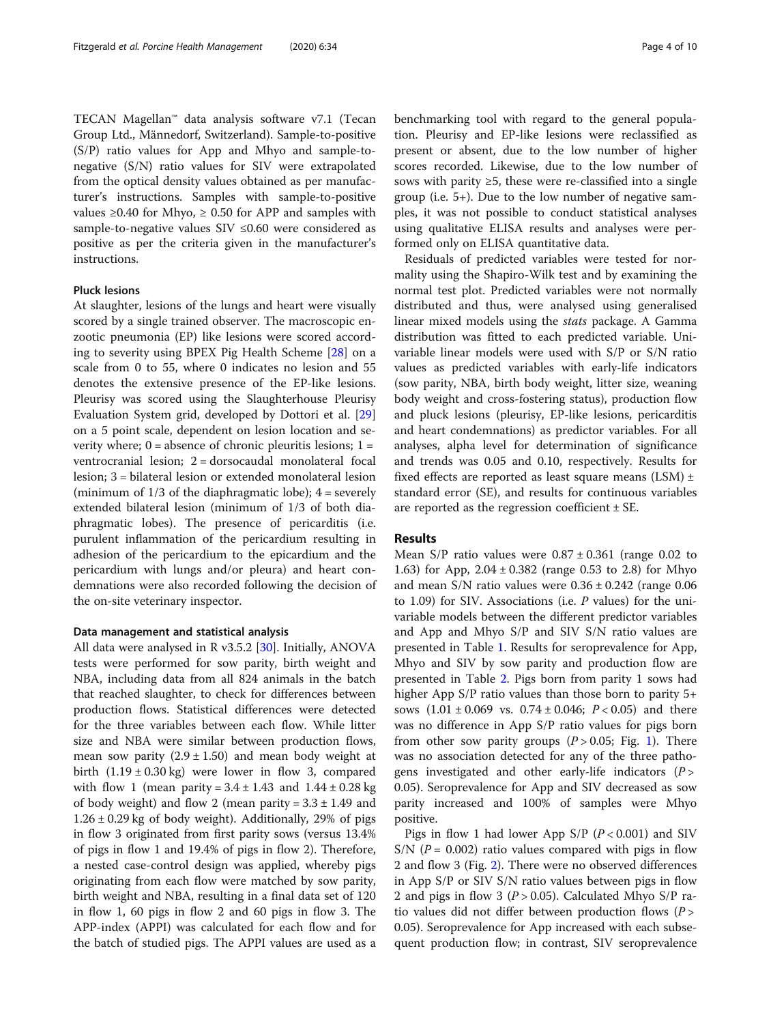TECAN Magellan™ data analysis software v7.1 (Tecan Group Ltd., Männedorf, Switzerland). Sample-to-positive (S/P) ratio values for App and Mhyo and sample-tonegative (S/N) ratio values for SIV were extrapolated from the optical density values obtained as per manufacturer's instructions. Samples with sample-to-positive values ≥0.40 for Mhyo, ≥ 0.50 for APP and samples with sample-to-negative values SIV ≤0.60 were considered as positive as per the criteria given in the manufacturer's instructions.

## Pluck lesions

At slaughter, lesions of the lungs and heart were visually scored by a single trained observer. The macroscopic enzootic pneumonia (EP) like lesions were scored according to severity using BPEX Pig Health Scheme [[28\]](#page-8-0) on a scale from 0 to 55, where 0 indicates no lesion and 55 denotes the extensive presence of the EP-like lesions. Pleurisy was scored using the Slaughterhouse Pleurisy Evaluation System grid, developed by Dottori et al. [[29](#page-8-0)] on a 5 point scale, dependent on lesion location and severity where;  $0 =$  absence of chronic pleuritis lesions;  $1 =$ ventrocranial lesion; 2 = dorsocaudal monolateral focal lesion; 3 = bilateral lesion or extended monolateral lesion (minimum of  $1/3$  of the diaphragmatic lobe);  $4 =$  severely extended bilateral lesion (minimum of 1/3 of both diaphragmatic lobes). The presence of pericarditis (i.e. purulent inflammation of the pericardium resulting in adhesion of the pericardium to the epicardium and the pericardium with lungs and/or pleura) and heart condemnations were also recorded following the decision of the on-site veterinary inspector.

## Data management and statistical analysis

All data were analysed in R v3.5.2  $[30]$  $[30]$ . Initially, ANOVA tests were performed for sow parity, birth weight and NBA, including data from all 824 animals in the batch that reached slaughter, to check for differences between production flows. Statistical differences were detected for the three variables between each flow. While litter size and NBA were similar between production flows, mean sow parity  $(2.9 \pm 1.50)$  and mean body weight at birth  $(1.19 \pm 0.30 \text{ kg})$  were lower in flow 3, compared with flow 1 (mean parity =  $3.4 \pm 1.43$  and  $1.44 \pm 0.28$  kg of body weight) and flow 2 (mean parity =  $3.3 \pm 1.49$  and  $1.26 \pm 0.29$  kg of body weight). Additionally, 29% of pigs in flow 3 originated from first parity sows (versus 13.4% of pigs in flow 1 and 19.4% of pigs in flow 2). Therefore, a nested case-control design was applied, whereby pigs originating from each flow were matched by sow parity, birth weight and NBA, resulting in a final data set of 120 in flow 1, 60 pigs in flow 2 and 60 pigs in flow 3. The APP-index (APPI) was calculated for each flow and for the batch of studied pigs. The APPI values are used as a

benchmarking tool with regard to the general population. Pleurisy and EP-like lesions were reclassified as present or absent, due to the low number of higher scores recorded. Likewise, due to the low number of sows with parity ≥5, these were re-classified into a single group (i.e. 5+). Due to the low number of negative samples, it was not possible to conduct statistical analyses using qualitative ELISA results and analyses were performed only on ELISA quantitative data.

Residuals of predicted variables were tested for normality using the Shapiro-Wilk test and by examining the normal test plot. Predicted variables were not normally distributed and thus, were analysed using generalised linear mixed models using the stats package. A Gamma distribution was fitted to each predicted variable. Univariable linear models were used with S/P or S/N ratio values as predicted variables with early-life indicators (sow parity, NBA, birth body weight, litter size, weaning body weight and cross-fostering status), production flow and pluck lesions (pleurisy, EP-like lesions, pericarditis and heart condemnations) as predictor variables. For all analyses, alpha level for determination of significance and trends was 0.05 and 0.10, respectively. Results for fixed effects are reported as least square means  $(LSM) \pm$ standard error (SE), and results for continuous variables are reported as the regression coefficient  $\pm$  SE.

## Results

Mean  $S/P$  ratio values were  $0.87 \pm 0.361$  (range 0.02 to 1.63) for App,  $2.04 \pm 0.382$  (range 0.53 to 2.8) for Mhyo and mean S/N ratio values were  $0.36 \pm 0.242$  (range 0.06 to 1.09) for SIV. Associations (i.e. P values) for the univariable models between the different predictor variables and App and Mhyo S/P and SIV S/N ratio values are presented in Table [1](#page-4-0). Results for seroprevalence for App, Mhyo and SIV by sow parity and production flow are presented in Table [2.](#page-4-0) Pigs born from parity 1 sows had higher App S/P ratio values than those born to parity 5+ sows  $(1.01 \pm 0.069 \text{ vs. } 0.74 \pm 0.046; P < 0.05)$  and there was no difference in App S/P ratio values for pigs born from other sow parity groups  $(P > 0.05;$  Fig. [1\)](#page-5-0). There was no association detected for any of the three pathogens investigated and other early-life indicators  $(P >$ 0.05). Seroprevalence for App and SIV decreased as sow parity increased and 100% of samples were Mhyo positive.

Pigs in flow 1 had lower App  $S/P$  ( $P < 0.001$ ) and SIV S/N ( $P = 0.002$ ) ratio values compared with pigs in flow 2 and flow 3 (Fig. [2](#page-6-0)). There were no observed differences in App S/P or SIV S/N ratio values between pigs in flow 2 and pigs in flow 3 ( $P > 0.05$ ). Calculated Mhyo S/P ratio values did not differ between production flows  $(P >$ 0.05). Seroprevalence for App increased with each subsequent production flow; in contrast, SIV seroprevalence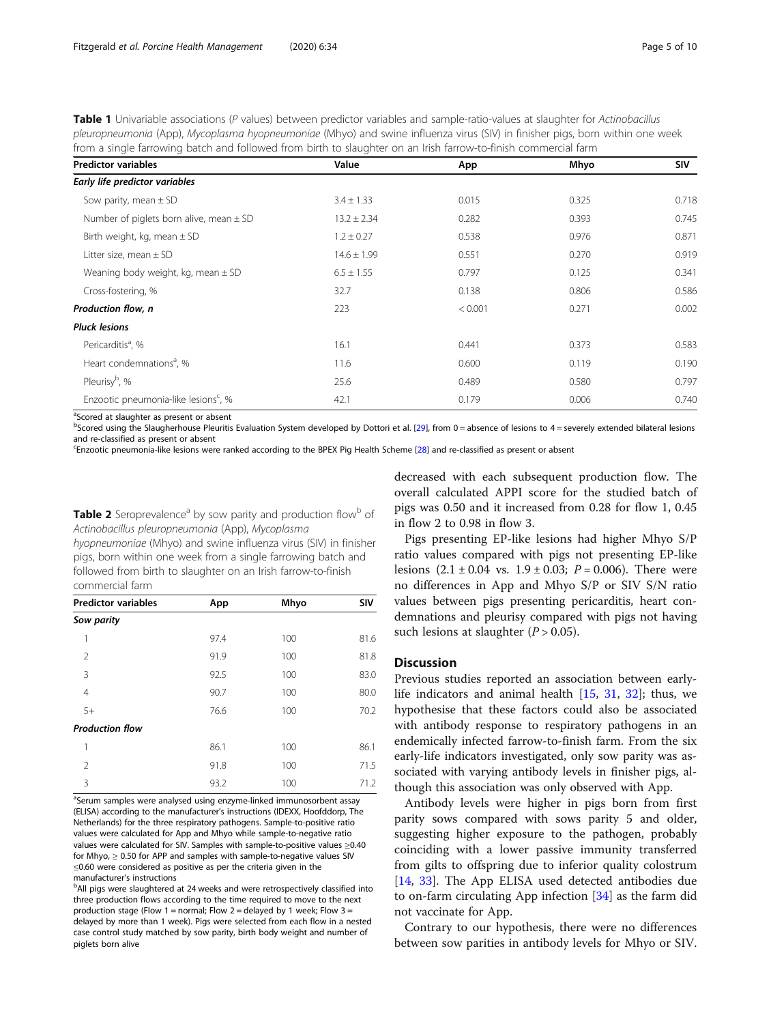<span id="page-4-0"></span>Table 1 Univariable associations (P values) between predictor variables and sample-ratio-values at slaughter for Actinobacillus pleuropneumonia (App), Mycoplasma hyopneumoniae (Mhyo) and swine influenza virus (SIV) in finisher pigs, born within one week from a single farrowing batch and followed from birth to slaughter on an Irish farrow-to-finish commercial farm

| <b>Predictor variables</b>                       | Value           | App     | Mhyo  | <b>SIV</b> |
|--------------------------------------------------|-----------------|---------|-------|------------|
| Early life predictor variables                   |                 |         |       |            |
| Sow parity, mean $\pm$ SD                        | $3.4 \pm 1.33$  | 0.015   | 0.325 | 0.718      |
| Number of piglets born alive, mean $\pm$ SD      | $13.2 \pm 2.34$ | 0.282   | 0.393 | 0.745      |
| Birth weight, kg, mean $\pm$ SD                  | $1.2 \pm 0.27$  | 0.538   | 0.976 | 0.871      |
| Litter size, mean $\pm$ SD                       | $14.6 \pm 1.99$ | 0.551   | 0.270 | 0.919      |
| Weaning body weight, kg, mean $\pm$ SD           | $6.5 \pm 1.55$  | 0.797   | 0.125 | 0.341      |
| Cross-fostering, %                               | 32.7            | 0.138   | 0.806 | 0.586      |
| Production flow, n                               | 223             | < 0.001 | 0.271 | 0.002      |
| <b>Pluck lesions</b>                             |                 |         |       |            |
| Pericarditis <sup>a</sup> , %                    | 16.1            | 0.441   | 0.373 | 0.583      |
| Heart condemnations <sup>a</sup> , %             | 11.6            | 0.600   | 0.119 | 0.190      |
| Pleurisy <sup>b</sup> , %                        | 25.6            | 0.489   | 0.580 | 0.797      |
| Enzootic pneumonia-like lesions <sup>c</sup> , % | 42.1            | 0.179   | 0.006 | 0.740      |

<sup>a</sup>Scored at slaughter as present or absent

**bScored using the Slaugherhouse Pleuritis Evaluation System developed by Dottori et al. [[29\]](#page-8-0), from 0 = absence of lesions to 4 = severely extended bilateral lesions** and re-classified as present or absent

c Enzootic pneumonia-like lesions were ranked according to the BPEX Pig Health Scheme [[28\]](#page-8-0) and re-classified as present or absent

Table 2 Seroprevalence<sup>a</sup> by sow parity and production flow<sup>b</sup> of Actinobacillus pleuropneumonia (App), Mycoplasma

hyopneumoniae (Mhyo) and swine influenza virus (SIV) in finisher pigs, born within one week from a single farrowing batch and followed from birth to slaughter on an Irish farrow-to-finish commercial farm

| <b>Predictor variables</b> | App  | Mhyo | <b>SIV</b> |
|----------------------------|------|------|------------|
| Sow parity                 |      |      |            |
| 1                          | 97.4 | 100  | 81.6       |
| $\mathfrak{D}$             | 91.9 | 100  | 81.8       |
| 3                          | 92.5 | 100  | 83.0       |
| $\overline{4}$             | 90.7 | 100  | 80.0       |
| $5+$                       | 76.6 | 100  | 70.2       |
| <b>Production flow</b>     |      |      |            |
| 1                          | 86.1 | 100  | 86.1       |
| $\mathfrak{D}$             | 91.8 | 100  | 71.5       |
| 3                          | 93.2 | 100  | 71.2       |

<sup>a</sup>Serum samples were analysed using enzyme-linked immunosorbent assay (ELISA) according to the manufacturer's instructions (IDEXX, Hoofddorp, The Netherlands) for the three respiratory pathogens. Sample-to-positive ratio values were calculated for App and Mhyo while sample-to-negative ratio values were calculated for SIV. Samples with sample-to-positive values ≥0.40 for Mhyo,  $\geq$  0.50 for APP and samples with sample-to-negative values SIV ≤0.60 were considered as positive as per the criteria given in the manufacturer's instructions <sup>b</sup>

<sup>b</sup>All pigs were slaughtered at 24 weeks and were retrospectively classified into three production flows according to the time required to move to the next production stage (Flow 1 = normal; Flow 2 = delayed by 1 week; Flow 3 = delayed by more than 1 week). Pigs were selected from each flow in a nested case control study matched by sow parity, birth body weight and number of piglets born alive

decreased with each subsequent production flow. The overall calculated APPI score for the studied batch of pigs was 0.50 and it increased from 0.28 for flow 1, 0.45 in flow 2 to 0.98 in flow 3.

Pigs presenting EP-like lesions had higher Mhyo S/P ratio values compared with pigs not presenting EP-like lesions  $(2.1 \pm 0.04 \text{ vs. } 1.9 \pm 0.03; P = 0.006)$ . There were no differences in App and Mhyo S/P or SIV S/N ratio values between pigs presenting pericarditis, heart condemnations and pleurisy compared with pigs not having such lesions at slaughter  $(P > 0.05)$ .

## **Discussion**

Previous studies reported an association between earlylife indicators and animal health [[15](#page-8-0), [31,](#page-8-0) [32](#page-8-0)]; thus, we hypothesise that these factors could also be associated with antibody response to respiratory pathogens in an endemically infected farrow-to-finish farm. From the six early-life indicators investigated, only sow parity was associated with varying antibody levels in finisher pigs, although this association was only observed with App.

Antibody levels were higher in pigs born from first parity sows compared with sows parity 5 and older, suggesting higher exposure to the pathogen, probably coinciding with a lower passive immunity transferred from gilts to offspring due to inferior quality colostrum [[14,](#page-8-0) [33\]](#page-8-0). The App ELISA used detected antibodies due to on-farm circulating App infection [[34](#page-8-0)] as the farm did not vaccinate for App.

Contrary to our hypothesis, there were no differences between sow parities in antibody levels for Mhyo or SIV.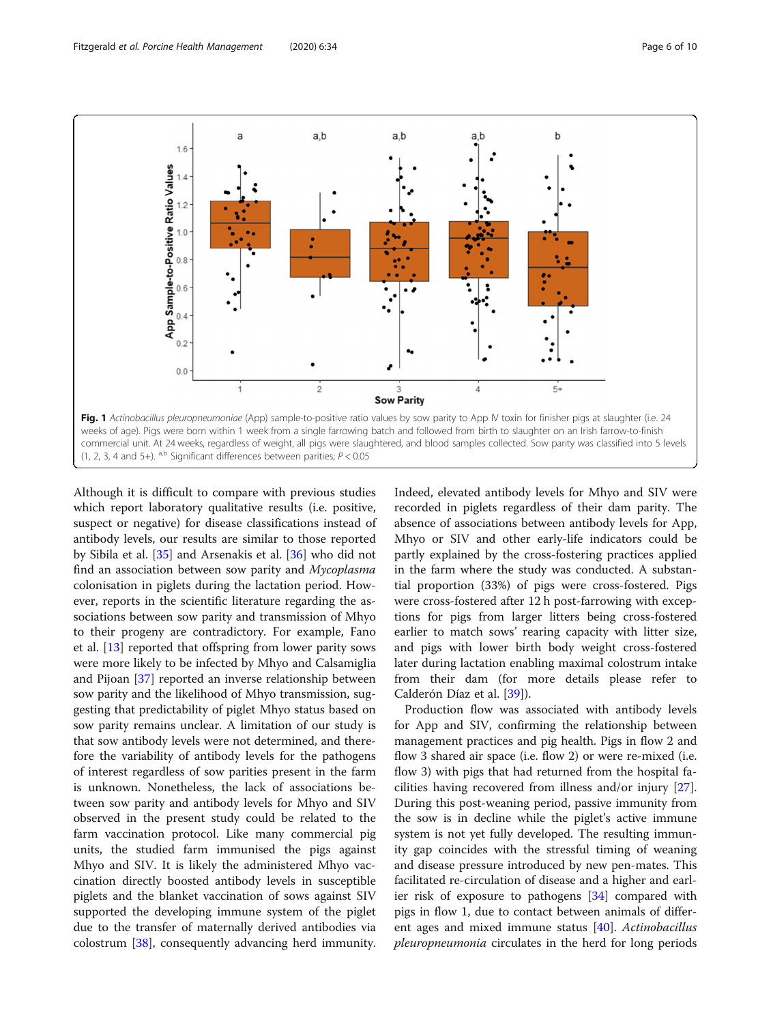<span id="page-5-0"></span>

Although it is difficult to compare with previous studies which report laboratory qualitative results (i.e. positive, suspect or negative) for disease classifications instead of antibody levels, our results are similar to those reported by Sibila et al. [[35\]](#page-8-0) and Arsenakis et al. [\[36\]](#page-8-0) who did not find an association between sow parity and Mycoplasma colonisation in piglets during the lactation period. However, reports in the scientific literature regarding the associations between sow parity and transmission of Mhyo to their progeny are contradictory. For example, Fano et al. [[13\]](#page-8-0) reported that offspring from lower parity sows were more likely to be infected by Mhyo and Calsamiglia and Pijoan [[37](#page-8-0)] reported an inverse relationship between sow parity and the likelihood of Mhyo transmission, suggesting that predictability of piglet Mhyo status based on sow parity remains unclear. A limitation of our study is that sow antibody levels were not determined, and therefore the variability of antibody levels for the pathogens of interest regardless of sow parities present in the farm is unknown. Nonetheless, the lack of associations between sow parity and antibody levels for Mhyo and SIV observed in the present study could be related to the farm vaccination protocol. Like many commercial pig units, the studied farm immunised the pigs against Mhyo and SIV. It is likely the administered Mhyo vaccination directly boosted antibody levels in susceptible piglets and the blanket vaccination of sows against SIV supported the developing immune system of the piglet due to the transfer of maternally derived antibodies via colostrum [[38\]](#page-8-0), consequently advancing herd immunity.

Indeed, elevated antibody levels for Mhyo and SIV were recorded in piglets regardless of their dam parity. The absence of associations between antibody levels for App, Mhyo or SIV and other early-life indicators could be partly explained by the cross-fostering practices applied in the farm where the study was conducted. A substantial proportion (33%) of pigs were cross-fostered. Pigs were cross-fostered after 12 h post-farrowing with exceptions for pigs from larger litters being cross-fostered earlier to match sows' rearing capacity with litter size, and pigs with lower birth body weight cross-fostered later during lactation enabling maximal colostrum intake from their dam (for more details please refer to Calderón Díaz et al. [\[39\]](#page-8-0)).

Production flow was associated with antibody levels for App and SIV, confirming the relationship between management practices and pig health. Pigs in flow 2 and flow 3 shared air space (i.e. flow 2) or were re-mixed (i.e. flow 3) with pigs that had returned from the hospital facilities having recovered from illness and/or injury [\[27](#page-8-0)]. During this post-weaning period, passive immunity from the sow is in decline while the piglet's active immune system is not yet fully developed. The resulting immunity gap coincides with the stressful timing of weaning and disease pressure introduced by new pen-mates. This facilitated re-circulation of disease and a higher and earlier risk of exposure to pathogens [\[34](#page-8-0)] compared with pigs in flow 1, due to contact between animals of different ages and mixed immune status [\[40](#page-8-0)]. Actinobacillus pleuropneumonia circulates in the herd for long periods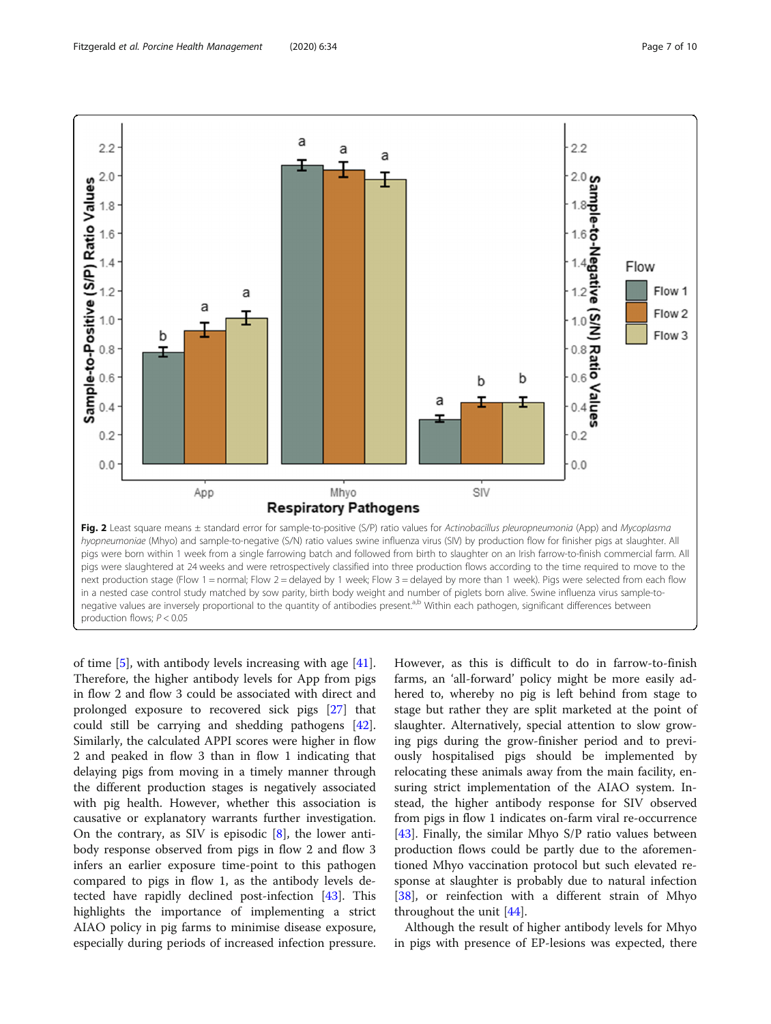<span id="page-6-0"></span>

of time [\[5](#page-8-0)], with antibody levels increasing with age [\[41](#page-8-0)]. Therefore, the higher antibody levels for App from pigs in flow 2 and flow 3 could be associated with direct and prolonged exposure to recovered sick pigs [\[27](#page-8-0)] that could still be carrying and shedding pathogens [\[42](#page-8-0)]. Similarly, the calculated APPI scores were higher in flow 2 and peaked in flow 3 than in flow 1 indicating that delaying pigs from moving in a timely manner through the different production stages is negatively associated with pig health. However, whether this association is causative or explanatory warrants further investigation. On the contrary, as SIV is episodic  $[8]$  $[8]$  $[8]$ , the lower antibody response observed from pigs in flow 2 and flow 3 infers an earlier exposure time-point to this pathogen compared to pigs in flow 1, as the antibody levels detected have rapidly declined post-infection [\[43](#page-9-0)]. This highlights the importance of implementing a strict AIAO policy in pig farms to minimise disease exposure, especially during periods of increased infection pressure.

However, as this is difficult to do in farrow-to-finish farms, an 'all-forward' policy might be more easily adhered to, whereby no pig is left behind from stage to stage but rather they are split marketed at the point of slaughter. Alternatively, special attention to slow growing pigs during the grow-finisher period and to previously hospitalised pigs should be implemented by relocating these animals away from the main facility, ensuring strict implementation of the AIAO system. Instead, the higher antibody response for SIV observed from pigs in flow 1 indicates on-farm viral re-occurrence [[43\]](#page-9-0). Finally, the similar Mhyo S/P ratio values between production flows could be partly due to the aforementioned Mhyo vaccination protocol but such elevated response at slaughter is probably due to natural infection [[38\]](#page-8-0), or reinfection with a different strain of Mhyo throughout the unit [\[44](#page-9-0)].

Although the result of higher antibody levels for Mhyo in pigs with presence of EP-lesions was expected, there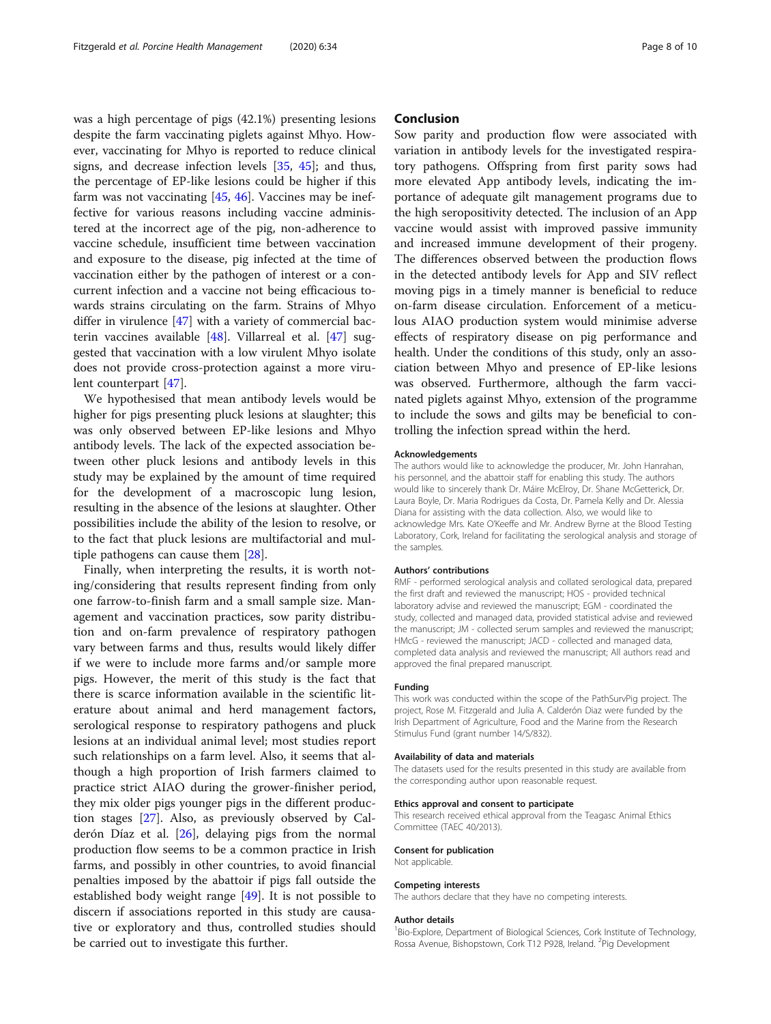was a high percentage of pigs (42.1%) presenting lesions despite the farm vaccinating piglets against Mhyo. However, vaccinating for Mhyo is reported to reduce clinical signs, and decrease infection levels [\[35,](#page-8-0) [45\]](#page-9-0); and thus, the percentage of EP-like lesions could be higher if this farm was not vaccinating  $[45, 46]$  $[45, 46]$  $[45, 46]$  $[45, 46]$ . Vaccines may be ineffective for various reasons including vaccine administered at the incorrect age of the pig, non-adherence to vaccine schedule, insufficient time between vaccination and exposure to the disease, pig infected at the time of vaccination either by the pathogen of interest or a concurrent infection and a vaccine not being efficacious towards strains circulating on the farm. Strains of Mhyo differ in virulence [\[47\]](#page-9-0) with a variety of commercial bacterin vaccines available [[48\]](#page-9-0). Villarreal et al. [\[47\]](#page-9-0) suggested that vaccination with a low virulent Mhyo isolate does not provide cross-protection against a more virulent counterpart [\[47](#page-9-0)].

We hypothesised that mean antibody levels would be higher for pigs presenting pluck lesions at slaughter; this was only observed between EP-like lesions and Mhyo antibody levels. The lack of the expected association between other pluck lesions and antibody levels in this study may be explained by the amount of time required for the development of a macroscopic lung lesion, resulting in the absence of the lesions at slaughter. Other possibilities include the ability of the lesion to resolve, or to the fact that pluck lesions are multifactorial and multiple pathogens can cause them [[28](#page-8-0)].

Finally, when interpreting the results, it is worth noting/considering that results represent finding from only one farrow-to-finish farm and a small sample size. Management and vaccination practices, sow parity distribution and on-farm prevalence of respiratory pathogen vary between farms and thus, results would likely differ if we were to include more farms and/or sample more pigs. However, the merit of this study is the fact that there is scarce information available in the scientific literature about animal and herd management factors, serological response to respiratory pathogens and pluck lesions at an individual animal level; most studies report such relationships on a farm level. Also, it seems that although a high proportion of Irish farmers claimed to practice strict AIAO during the grower-finisher period, they mix older pigs younger pigs in the different production stages [[27\]](#page-8-0). Also, as previously observed by Calderón Díaz et al. [[26](#page-8-0)], delaying pigs from the normal production flow seems to be a common practice in Irish farms, and possibly in other countries, to avoid financial penalties imposed by the abattoir if pigs fall outside the established body weight range [\[49\]](#page-9-0). It is not possible to discern if associations reported in this study are causative or exploratory and thus, controlled studies should be carried out to investigate this further.

## Conclusion

Sow parity and production flow were associated with variation in antibody levels for the investigated respiratory pathogens. Offspring from first parity sows had more elevated App antibody levels, indicating the importance of adequate gilt management programs due to the high seropositivity detected. The inclusion of an App vaccine would assist with improved passive immunity and increased immune development of their progeny. The differences observed between the production flows in the detected antibody levels for App and SIV reflect moving pigs in a timely manner is beneficial to reduce on-farm disease circulation. Enforcement of a meticulous AIAO production system would minimise adverse effects of respiratory disease on pig performance and health. Under the conditions of this study, only an association between Mhyo and presence of EP-like lesions was observed. Furthermore, although the farm vaccinated piglets against Mhyo, extension of the programme to include the sows and gilts may be beneficial to controlling the infection spread within the herd.

#### Acknowledgements

The authors would like to acknowledge the producer, Mr. John Hanrahan, his personnel, and the abattoir staff for enabling this study. The authors would like to sincerely thank Dr. Máire McElroy, Dr. Shane McGetterick, Dr. Laura Boyle, Dr. Maria Rodrigues da Costa, Dr. Pamela Kelly and Dr. Alessia Diana for assisting with the data collection. Also, we would like to acknowledge Mrs. Kate O'Keeffe and Mr. Andrew Byrne at the Blood Testing Laboratory, Cork, Ireland for facilitating the serological analysis and storage of the samples.

#### Authors' contributions

RMF - performed serological analysis and collated serological data, prepared the first draft and reviewed the manuscript; HOS - provided technical laboratory advise and reviewed the manuscript; EGM - coordinated the study, collected and managed data, provided statistical advise and reviewed the manuscript; JM - collected serum samples and reviewed the manuscript; HMcG - reviewed the manuscript; JACD - collected and managed data, completed data analysis and reviewed the manuscript; All authors read and approved the final prepared manuscript.

#### Funding

This work was conducted within the scope of the PathSurvPig project. The project, Rose M. Fitzgerald and Julia A. Calderón Diaz were funded by the Irish Department of Agriculture, Food and the Marine from the Research Stimulus Fund (grant number 14/S/832).

#### Availability of data and materials

The datasets used for the results presented in this study are available from the corresponding author upon reasonable request.

#### Ethics approval and consent to participate

This research received ethical approval from the Teagasc Animal Ethics Committee (TAEC 40/2013).

#### Consent for publication

Not applicable.

#### Competing interests

The authors declare that they have no competing interests.

#### Author details

<sup>1</sup> Bio-Explore, Department of Biological Sciences, Cork Institute of Technology, Rossa Avenue, Bishopstown, Cork T12 P928, Ireland. <sup>2</sup>Pig Development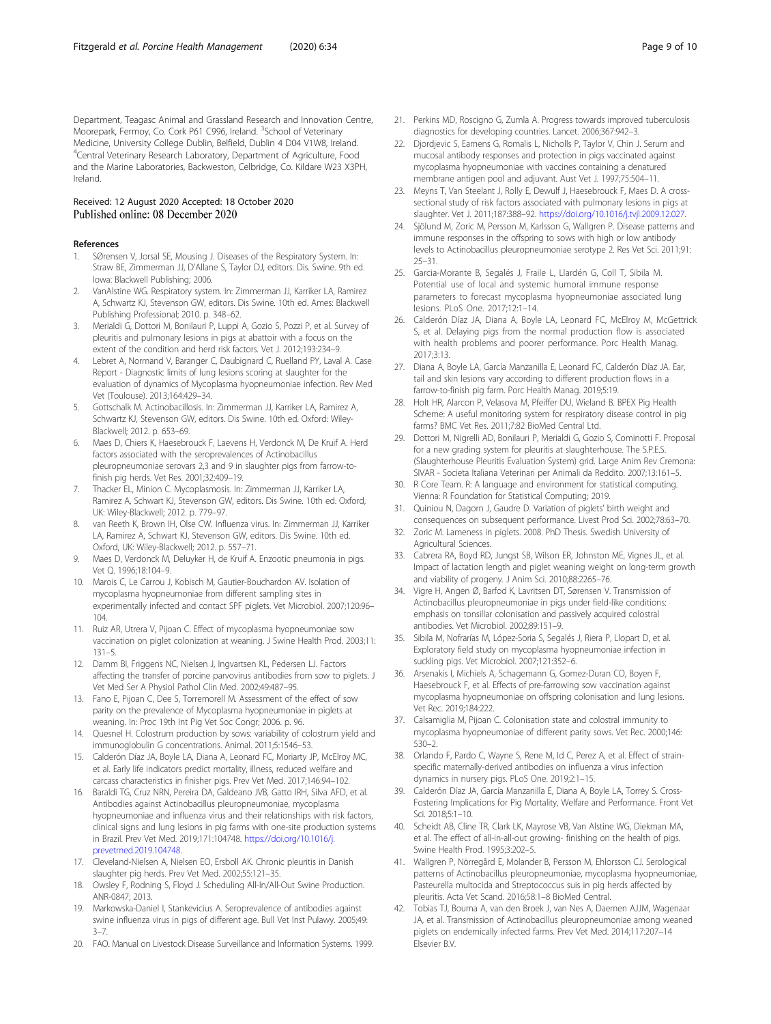<span id="page-8-0"></span>Department, Teagasc Animal and Grassland Research and Innovation Centre, Moorepark, Fermoy, Co. Cork P61 C996, Ireland. <sup>3</sup>School of Veterinary Medicine, University College Dublin, Belfield, Dublin 4 D04 V1W8, Ireland. 4 Central Veterinary Research Laboratory, Department of Agriculture, Food and the Marine Laboratories, Backweston, Celbridge, Co. Kildare W23 X3PH, Ireland.

## Received: 12 August 2020 Accepted: 18 October 2020 Published online: 08 December 2020

#### References

- 1. SØrensen V, Jorsal SE, Mousing J. Diseases of the Respiratory System. In: Straw BE, Zimmerman JJ, D'Allane S, Taylor DJ, editors. Dis. Swine. 9th ed. Iowa: Blackwell Publishing; 2006.
- 2. VanAlstine WG. Respiratory system. In: Zimmerman JJ, Karriker LA, Ramirez A, Schwartz KJ, Stevenson GW, editors. Dis Swine. 10th ed. Ames: Blackwell Publishing Professional; 2010. p. 348–62.
- 3. Merialdi G, Dottori M, Bonilauri P, Luppi A, Gozio S, Pozzi P, et al. Survey of pleuritis and pulmonary lesions in pigs at abattoir with a focus on the extent of the condition and herd risk factors. Vet J. 2012;193:234–9.
- 4. Lebret A, Normand V, Baranger C, Daubignard C, Ruelland PY, Laval A. Case Report - Diagnostic limits of lung lesions scoring at slaughter for the evaluation of dynamics of Mycoplasma hyopneumoniae infection. Rev Med Vet (Toulouse). 2013;164:429–34.
- 5. Gottschalk M. Actinobacillosis. In: Zimmerman JJ, Karriker LA, Ramirez A, Schwartz KJ, Stevenson GW, editors. Dis Swine. 10th ed. Oxford: Wiley-Blackwell; 2012. p. 653–69.
- 6. Maes D, Chiers K, Haesebrouck F, Laevens H, Verdonck M, De Kruif A. Herd factors associated with the seroprevalences of Actinobacillus pleuropneumoniae serovars 2,3 and 9 in slaughter pigs from farrow-tofinish pig herds. Vet Res. 2001;32:409–19.
- 7. Thacker EL, Minion C. Mycoplasmosis. In: Zimmerman JJ, Karriker LA, Ramirez A, Schwart KJ, Stevenson GW, editors. Dis Swine. 10th ed. Oxford, UK: Wiley-Blackwell; 2012. p. 779–97.
- 8. van Reeth K, Brown IH, Olse CW. Influenza virus. In: Zimmerman JJ, Karriker LA, Ramirez A, Schwart KJ, Stevenson GW, editors. Dis Swine. 10th ed. Oxford, UK: Wiley-Blackwell; 2012. p. 557–71.
- Maes D, Verdonck M, Deluyker H, de Kruif A. Enzootic pneumonia in pigs. Vet Q. 1996;18:104–9.
- 10. Marois C, Le Carrou J, Kobisch M, Gautier-Bouchardon AV. Isolation of mycoplasma hyopneumoniae from different sampling sites in experimentally infected and contact SPF piglets. Vet Microbiol. 2007;120:96– 104.
- 11. Ruiz AR, Utrera V, Pijoan C. Effect of mycoplasma hyopneumoniae sow vaccination on piglet colonization at weaning. J Swine Health Prod. 2003;11: 131–5.
- 12. Damm BI, Friggens NC, Nielsen J, Ingvartsen KL, Pedersen LJ. Factors affecting the transfer of porcine parvovirus antibodies from sow to piglets. J Vet Med Ser A Physiol Pathol Clin Med. 2002;49:487–95.
- 13. Fano E, Pijoan C, Dee S, Torremorell M. Assessment of the effect of sow parity on the prevalence of Mycoplasma hyopneumoniae in piglets at weaning. In: Proc 19th Int Pig Vet Soc Congr; 2006. p. 96.
- 14. Quesnel H. Colostrum production by sows: variability of colostrum yield and immunoglobulin G concentrations. Animal. 2011;5:1546–53.
- 15. Calderón Díaz JA, Boyle LA, Diana A, Leonard FC, Moriarty JP, McElroy MC, et al. Early life indicators predict mortality, illness, reduced welfare and carcass characteristics in finisher pigs. Prev Vet Med. 2017;146:94–102.
- 16. Baraldi TG, Cruz NRN, Pereira DA, Galdeano JVB, Gatto IRH, Silva AFD, et al. Antibodies against Actinobacillus pleuropneumoniae, mycoplasma hyopneumoniae and influenza virus and their relationships with risk factors, clinical signs and lung lesions in pig farms with one-site production systems in Brazil. Prev Vet Med. 2019;171:104748. [https://doi.org/10.1016/j.](https://doi.org/10.1016/j.prevetmed.2019.104748) [prevetmed.2019.104748](https://doi.org/10.1016/j.prevetmed.2019.104748).
- 17. Cleveland-Nielsen A, Nielsen EO, Ersboll AK. Chronic pleuritis in Danish slaughter pig herds. Prev Vet Med. 2002;55:121–35.
- 18. Owsley F, Rodning S, Floyd J. Scheduling All-In/All-Out Swine Production. ANR-0847; 2013.
- 19. Markowska-Daniel I, Stankevicius A. Seroprevalence of antibodies against swine influenza virus in pigs of different age. Bull Vet Inst Pulawy. 2005;49: 3–7.
- 20. FAO. Manual on Livestock Disease Surveillance and Information Systems. 1999.
- 21. Perkins MD, Roscigno G, Zumla A. Progress towards improved tuberculosis diagnostics for developing countries. Lancet. 2006;367:942–3.
- 22. Diordievic S, Eamens G, Romalis L, Nicholls P, Taylor V, Chin J, Serum and mucosal antibody responses and protection in pigs vaccinated against mycoplasma hyopneumoniae with vaccines containing a denatured membrane antigen pool and adjuvant. Aust Vet J. 1997;75:504–11.
- Meyns T, Van Steelant J, Rolly E, Dewulf J, Haesebrouck F, Maes D. A crosssectional study of risk factors associated with pulmonary lesions in pigs at slaughter. Vet J. 2011;187:388–92. <https://doi.org/10.1016/j.tvjl.2009.12.027>.
- 24. Sjölund M, Zoric M, Persson M, Karlsson G, Wallgren P. Disease patterns and immune responses in the offspring to sows with high or low antibody levels to Actinobacillus pleuropneumoniae serotype 2. Res Vet Sci. 2011;91: 25–31.
- 25. Garcia-Morante B, Segalés J, Fraile L, Llardén G, Coll T, Sibila M. Potential use of local and systemic humoral immune response parameters to forecast mycoplasma hyopneumoniae associated lung lesions. PLoS One. 2017;12:1–14.
- 26. Calderón Díaz JA, Diana A, Boyle LA, Leonard FC, McElroy M, McGettrick S, et al. Delaying pigs from the normal production flow is associated with health problems and poorer performance. Porc Health Manag. 2017;3:13.
- 27. Diana A, Boyle LA, García Manzanilla E, Leonard FC, Calderón Díaz JA. Ear, tail and skin lesions vary according to different production flows in a farrow-to-finish pig farm. Porc Health Manag. 2019;5:19.
- 28. Holt HR, Alarcon P, Velasova M, Pfeiffer DU, Wieland B. BPEX Pig Health Scheme: A useful monitoring system for respiratory disease control in pig farms? BMC Vet Res. 2011;7:82 BioMed Central Ltd.
- 29. Dottori M, Nigrelli AD, Bonilauri P, Merialdi G, Gozio S, Cominotti F. Proposal for a new grading system for pleuritis at slaughterhouse. The S.P.E.S. (Slaughterhouse Pleuritis Evaluation System) grid. Large Anim Rev Cremona: SIVAR - Societa Italiana Veterinari per Animali da Reddito. 2007;13:161–5.
- 30. R Core Team. R: A language and environment for statistical computing. Vienna: R Foundation for Statistical Computing; 2019.
- 31. Quiniou N, Dagorn J, Gaudre D. Variation of piglets' birth weight and consequences on subsequent performance. Livest Prod Sci. 2002;78:63–70.
- 32. Zoric M. Lameness in piglets. 2008. PhD Thesis. Swedish University of Agricultural Sciences.
- 33. Cabrera RA, Boyd RD, Jungst SB, Wilson ER, Johnston ME, Vignes JL, et al. Impact of lactation length and piglet weaning weight on long-term growth and viability of progeny. J Anim Sci. 2010;88:2265–76.
- 34. Vigre H, Angen Ø, Barfod K, Lavritsen DT, Sørensen V. Transmission of Actinobacillus pleuropneumoniae in pigs under field-like conditions: emphasis on tonsillar colonisation and passively acquired colostral antibodies. Vet Microbiol. 2002;89:151–9.
- 35. Sibila M, Nofrarías M, López-Soria S, Segalés J, Riera P, Llopart D, et al. Exploratory field study on mycoplasma hyopneumoniae infection in suckling pigs. Vet Microbiol. 2007;121:352–6.
- 36. Arsenakis I, Michiels A, Schagemann G, Gomez-Duran CO, Boyen F, Haesebrouck F, et al. Effects of pre-farrowing sow vaccination against mycoplasma hyopneumoniae on offspring colonisation and lung lesions. Vet Rec. 2019;184:222.
- 37. Calsamiglia M, Pijoan C. Colonisation state and colostral immunity to mycoplasma hyopneumoniae of different parity sows. Vet Rec. 2000;146: 530–2.
- 38. Orlando F, Pardo C, Wayne S, Rene M, Id C, Perez A, et al. Effect of strainspecific maternally-derived antibodies on influenza a virus infection dynamics in nursery pigs. PLoS One. 2019;2:1–15.
- 39. Calderón Díaz JA, García Manzanilla E, Diana A, Boyle LA, Torrey S. Cross-Fostering Implications for Pig Mortality, Welfare and Performance. Front Vet Sci. 2018;5:1–10.
- 40. Scheidt AB, Cline TR, Clark LK, Mayrose VB, Van Alstine WG, Diekman MA, et al. The effect of all-in-all-out growing- finishing on the health of pigs. Swine Health Prod. 1995;3:202–5.
- 41. Wallgren P, Nörregård E, Molander B, Persson M, Ehlorsson CJ. Serological patterns of Actinobacillus pleuropneumoniae, mycoplasma hyopneumoniae, Pasteurella multocida and Streptococcus suis in pig herds affected by pleuritis. Acta Vet Scand. 2016;58:1–8 BioMed Central.
- 42. Tobias TJ, Bouma A, van den Broek J, van Nes A, Daemen AJJM, Wagenaar JA, et al. Transmission of Actinobacillus pleuropneumoniae among weaned piglets on endemically infected farms. Prev Vet Med. 2014;117:207–14 Elsevier B.V.